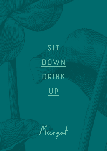

Margot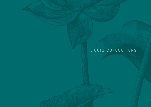# **Liquid concoctions**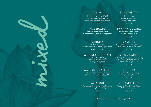## **Russian Spring Punch**

Ketel One Vodka, Honey & Mint, Elderflower, Sea Salt, Black Pepper

**10.00**

#### **Americano**

Cîroc Red Berry Vodka, Aperol, Sweet Vermouth, Lemon, Orange Soda

**10.00**

## **Sangria**

Red Wine, Hennessy VS, Sweet Vermouth, Lemon & Thyme, Soda

**8.50 / 24.00**

mixed

# **Whiskey Highball**

Roe & Co Irish Whiskey, Yellow Chartreuse, Apricot, Honey & Mint, Soda

**10.00**

## **Watermelon Sour**

Jose Cuervo Tradicional Silver Tequila, Watermelon, Basil, Citrus, Egg White

**10.00**

# **Aviation**

Tanqueray Gin, Violette, Blue Curaçao, Maraschino, Lemon & Thyme

**10.00**

# **Blackberry Spritz**

Prosecco, Blackberry, Apple, Citrus, Soda

**10.00**

#### **Banana Colada**

Plantation Pineapple Rum, Banana, Coconut, Milk

**10.00**

## **Jasmine**

Tanqueray Flor de Sevilla, Campari, White Port, Cointreau, Prosecco

**10.00**

# **Vieux Carré**

Bulleit Rye Whiskey, Sweet Vermouth, Bénédictine, Pear, Maraschino, Chamomile, Peychaud's

**10.00** 

#### **Sidecar**

Hennessy VS, Pinot Grigio, Orange, Peach, Lemon

**10.00**

## **Rhubarb Fizz**

Tanqueray Gin, Rhubarb, Apple, Milk Substitute, Soda

**10.00**

Feel free to ask your bartender to make their own signature drink.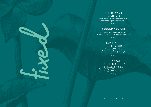## **Ninth Wave Irish Gin**

Ninth Wave Irish Gin, Grapefruit, Mint, Schweppes Signature Light Tonic

**10.00**

## **Brockmans Gin**

Brockmans Gin, Blueberries, Sea Salt, Black Pepper, Schweppes Signature Crisp Tonic

**10.00**

## **Boatyard Old Tom Gin**

Boatyard Old Tom Gin, Pedro Ximénez Sherry, Orange, Schweppes Signature Ginger Ale

fixed

**10.00**

## **Ornabrak Single Malt Gin**

Ornabrak Single Malt Gin, Lemon & Thyme, Chamomile Tincture, Schweppes Elderflower Tonic

**10.00**

All serves contain 50ml of alcohol.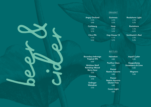#### **DRAUGHT**

Angry Orchard *5.0%* 5.90 **Carlsberg** *3.8%* 5.70 Citra IPA

> *5.0%* 5.90

**Guinness** *4.2%*

5.70

*4.0%* 5.70

Hop House 13 *4.1%* 5.70

**Harp** 

Rockshore *4.0%* 5.70

Rockshore Light *3.5%* 5.70

Smithwick's Red *3.8%* 5.70

#### **Bottles**

Boundary Imbongo Tropical IPA 6.00

beer & cider

Wicklow Wolf Raindrop Mixed Berry Sour 6.00

> **Corona** 4.90

Erdinger Weissbier 5.50

Heineken 4.80

Pacifico Clara 5.00

Peroni Nastro Azzurro

4.80

Peroni Nastro Azzurro Gluten Free 4.80

> Coors Light 4.60

Aspall Cyder 5.50

Kopparberg Strawberry & Lime 5.00

> **Magners** 5.00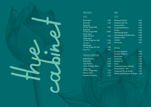

#### **Whiskey**

#### **Irish**

Black Bush **4.40** Bushmills 4.30 Bushmills 10 Year Single Malt 6.00 Bushmills 16 Year Single Malt 18.00 Green Spot Single Pot Still 9.00 Yellow Spot 12 Year Single Pot Still 11.00 Jameson 5.40 Red Breast 12 Year Single Pot Still 7.00 Roe & Co 4.70

#### **Scotch & American**

Bulleit Bourbon 5.10 Bulleit Rye 6.10 Jack Daniels 5.20 Johnnie Walker Black 5.00 Laphroaig 10 Year Single Malt 7.50 Makers Mark 6.10 Woodford Reserve 5.10

#### **GIN**

#### **Irish**

| <b>Boatyard Double</b>     | 6.50 |
|----------------------------|------|
| <b>Boatyard Old Tom</b>    | 6.50 |
| <b>Boatyard Sloe</b>       | 5.10 |
| <b>Copeland Rhuberry</b>   | 5.00 |
| Dingle                     | 6.00 |
| <b>Glendalough Rose</b>    | 5.00 |
| Glendalough Wild Botanical | 5.00 |
| <b>Gordon's Pink</b>       | 5.50 |
| Jawbox                     | 5.20 |
| <b>Shortcross</b>          | 6.00 |

#### **World**

| <b>Bombay Sapphire</b>                    | 5.40 |
|-------------------------------------------|------|
| <b>Boodles Mulberry</b>                   | 5.00 |
| <b>Brockmans</b>                          | 5.60 |
| <b>Hendricks</b>                          | 6.00 |
| Monkey 47                                 | 7.50 |
| Oxley                                     | 7.00 |
| <b>Tanqueray Export Strength</b>          | 5.80 |
| Tanqueray No. TEN                         | 6.00 |
| Tanqueray Flor de Sevilla                 | 5.20 |
| <b>Whitley Neill Rhubarb &amp; Ginger</b> | 5.00 |
|                                           |      |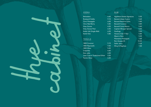#### **Vodka**

Belvedere 6.60<br>Boatyard Vodka 9.10 Boatyard Vodka 9.10 Cîroc Pineapple 6.00<br>Cîroc Red Berry 5.85 Cîroc Red Berry 5.85<br>Grey Goose 6.50 Grey Goose Grey Goose Pear 6.50 Kalak Irish Single Malt 6.50 Ketel One 5.80

#### **TEQUILA**

the cabinet

| 1800 Coconut                   | 5.10 |
|--------------------------------|------|
| 1800 Reposado                  | 5.60 |
| 1800 Silver                    | 5.20 |
| Creyente                       | 6.60 |
| Don Julio                      | 6.50 |
| Jose Cuervo Tradicional Silver | 5.50 |
| Patrón Silver                  | 6.00 |

#### **Rum**

| <b>Appleton Estate Signature</b> | 5.50  |
|----------------------------------|-------|
| Bacardí Añejo Cuatro             | 5.60  |
| Bacardí Reserva Ocho             | 5.80  |
| Bacardí Coconut                  | 4.80  |
| Bacardí Carta Blanca             | 5.40  |
| Captain Morgan Spiced            | 5.50  |
| Goslings                         | 5.00  |
| Havana Club 7 Year               | 5.80  |
| Myers's Rum                      | 5.20  |
| <b>Plantation Pineapple</b>      | 7.00  |
| Ron Zacapa 23                    | 10.20 |
| <b>Sailor Jerry</b>              | 5.30  |
| Wray & Nephew                    | 7.00  |
|                                  |       |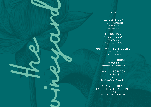#### **White**

**La Deliziosa Pinot Grigio 7.50/26.00** Sicily, Italy, 2020

## **Talinga Park Chardonnay**

**7.50/26.00** Nugan Estate, Australia

# **Most Wanted Riesling**

**8.00/28.00** Pfalz, Germany, 2017

# **The Horologist**

the vineyard

**7.50/26.00** Marlborough, New Zealand, 2021

#### **Alain Geoffroy Chablis 35.50**

Domaine Le Verger, France, 2018

#### **Alain Gueneau La Guiberte Sancerre 31.00** Upper Loire, Sancerre, France, 2018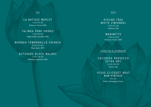#### **Red**

**La Batisse Merlot 7.50/25.00** Provence, France, 2020

#### **Talinga Park Shiraz**

**7.25/25.00** Nugan Estate, Australia, 2020

#### **Beronia Tempranillo Crianza**

**8.00/27.00** Rioja, Spain, 2018

## **Butchers Block Malbec**

**7.50/26.00** Mendoza, Argentine, 2020

#### **rosĒ**

## **Kissing Tree White Zinfandel 7.50/25.00**

California, USA

## MARINETTE<sup>'</sup>

**7.00/24.00** Provence, France, 2020

**Sparkling & champagne**

# **Calogera Prosecco Extra Dry**

**8.00/28.00** Veneto, Italy

# **Veuve Clicquot Brut Non-Vintage**

**65.00** Reims, Champagne, France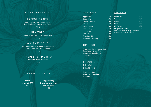#### **Alcohol free cocktails**

## **Aperol Spritz**

Lyre's Non-Alcoholic Italian Spritz, Non-Alcoholic Prosecco, Soda Water

**7.50**

# **Bramble**

Tanqueray 0%, Lemon, Blackberry, Sugar

**7.50**

## **Whiskey Sour**

Lyre's American Malt Bourbon Non-Alcoholic, Vanilla Demerara, Lemon, Whites

**7.50**

#### **Raspberry Mojito** Lime, Mint, Apple, Raspberry

**7.50**

#### **Alcohol free beer & cider**

Peroni Libera 0.0% 4.00

Kopparberg Strawberry & Lime Alcohol Free 4.20

#### **Soft Drinks**

| Appletiser                 | 3.00 |
|----------------------------|------|
| Coca-Cola                  | 2.90 |
| Coca-Cola Zero             | 2.90 |
| <b>Diet Coke</b>           | 2.90 |
| <b>Fanta Lemon</b>         | 2.90 |
| <b>Fanta Orange</b>        | 2.90 |
| <b>Sprite Zero</b>         | 2.90 |
| <b>Red Bull</b>            | 3.40 |
| <b>RiverRock Still</b>     | 3.50 |
| <b>RiverRock Sparkling</b> | 3.50 |
|                            |      |

#### **little ones**

Schweppes Tonic, Slimline Tonic, Soda Water, Ginger Ale, Lemonade, Bitter Lemon 2.60 each

**Schweppes**

**Signature Collection**

Tonic, Light Tonic, Ginger Ale, Elderflower 3.20 each

#### **HOT DRINKS**

| 3.00 | Americano                                                    | 3.00 |  |
|------|--------------------------------------------------------------|------|--|
| 2.90 | <b>Espresso</b>                                              | 3.00 |  |
| 2.90 | Cappuccino                                                   | 3.50 |  |
| 2.90 | Latte                                                        | 3.50 |  |
| 2.90 | <b>Flat White</b>                                            | 3.50 |  |
| 2.90 | <b>Margot Irish Coffee</b>                                   | 7.00 |  |
| 2.90 | Roe & Co Irish Whiskey, Demerara,<br>Whipped Cream, Espresso |      |  |
| 3.40 |                                                              |      |  |